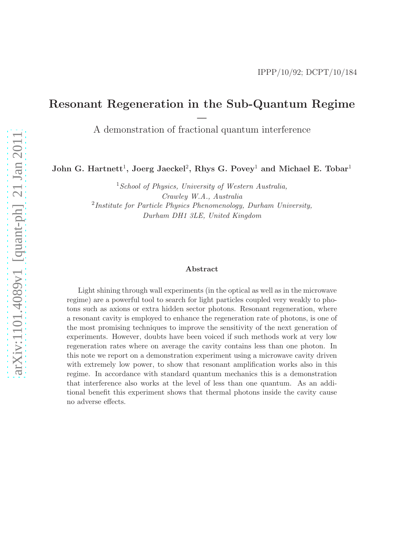## Resonant Regeneration in the Sub-Quantum Regime

– A demonstration of fractional quantum interference

John G. Hartnett<sup>1</sup>, Joerg Jaeckel<sup>2</sup>, Rhys G. Povey<sup>1</sup> and Michael E. Tobar<sup>1</sup>

 $1$ School of Physics, University of Western Australia, Crawley W.A., Australia  $2$ Institute for Particle Physics Phenomenology, Durham University, Durham DH1 3LE, United Kingdom

#### Abstract

Light shining through wall experiments (in the optical as well as in the microwave regime) are a powerful tool to search for light particles coupled very weakly to photons such as axions or extra hidden sector photons. Resonant regeneration, where a resonant cavity is employed to enhance the regeneration rate of photons, is one of the most promising techniques to improve the sensitivity of the next generation of experiments. However, doubts have been voiced if such methods work at very low regeneration rates where on average the cavity contains less than one photon. In this note we report on a demonstration experiment using a microwave cavity driven with extremely low power, to show that resonant amplification works also in this regime. In accordance with standard quantum mechanics this is a demonstration that interference also works at the level of less than one quantum. As an additional benefit this experiment shows that thermal photons inside the cavity cause no adverse effects.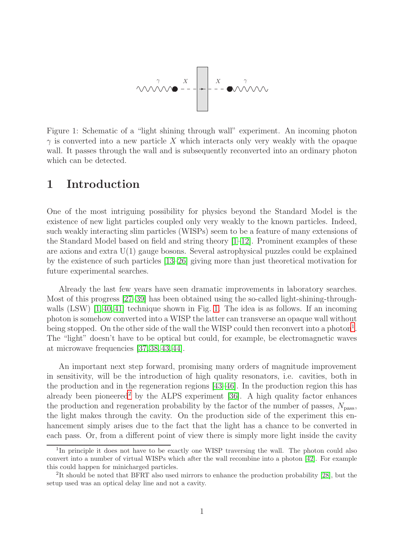

<span id="page-1-0"></span>Figure 1: Schematic of a "light shining through wall" experiment. An incoming photon  $\gamma$  is converted into a new particle X which interacts only very weakly with the opaque wall. It passes through the wall and is subsequently reconverted into an ordinary photon which can be detected.

### 1 Introduction

One of the most intriguing possibility for physics beyond the Standard Model is the existence of new light particles coupled only very weakly to the known particles. Indeed, such weakly interacting slim particles (WISPs) seem to be a feature of many extensions of the Standard Model based on field and string theory  $[1-12]$ . Prominent examples of these are axions and extra U(1) gauge bosons. Several astrophysical puzzles could be explained by the existence of such particles [\[13](#page-12-2)[–26\]](#page-13-0) giving more than just theoretical motivation for future experimental searches.

Already the last few years have seen dramatic improvements in laboratory searches. Most of this progress [\[27](#page-13-1)[–39\]](#page-14-0) has been obtained using the so-called light-shining-throughwalls  $(LSW)$  [\[1,](#page-12-0) [40,](#page-14-1) [41\]](#page-14-2) technique shown in Fig. [1.](#page-1-0) The idea is as follows. If an incoming photon is somehow converted into a WISP the latter can transverse an opaque wall without being stopped. On the other side of the wall the WISP could then reconvert into a photon<sup>[1](#page-1-1)</sup>. The "light" doesn't have to be optical but could, for example, be electromagnetic waves at microwave frequencies [\[37,](#page-14-3) [38,](#page-14-4) [43,](#page-14-5) [44\]](#page-14-6).

An important next step forward, promising many orders of magnitude improvement in sensitivity, will be the introduction of high quality resonators, i.e. cavities, both in the production and in the regeneration regions [\[43](#page-14-5)[–46\]](#page-14-7). In the production region this has already been pioneered<sup>[2](#page-1-2)</sup> by the ALPS experiment  $[36]$ . A high quality factor enhances the production and regeneration probability by the factor of the number of passes,  $N_{\text{pass}}$ , the light makes through the cavity. On the production side of the experiment this enhancement simply arises due to the fact that the light has a chance to be converted in each pass. Or, from a different point of view there is simply more light inside the cavity

<span id="page-1-1"></span><sup>&</sup>lt;sup>1</sup>In principle it does not have to be exactly one WISP traversing the wall. The photon could also convert into a number of virtual WISPs which after the wall recombine into a photon [\[42\]](#page-14-9). For example this could happen for minicharged particles.

<span id="page-1-2"></span><sup>2</sup> It should be noted that BFRT also used mirrors to enhance the production probability [\[28\]](#page-13-2), but the setup used was an optical delay line and not a cavity.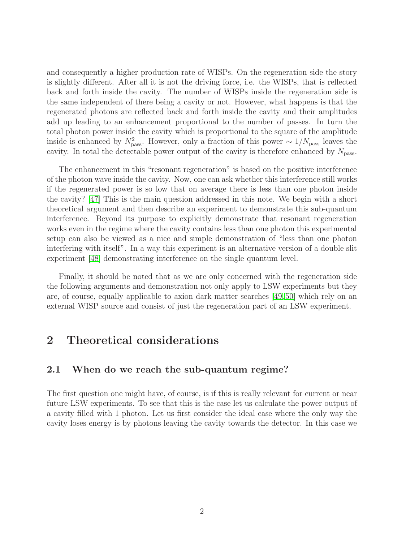and consequently a higher production rate of WISPs. On the regeneration side the story is slightly different. After all it is not the driving force, i.e. the WISPs, that is reflected back and forth inside the cavity. The number of WISPs inside the regeneration side is the same independent of there being a cavity or not. However, what happens is that the regenerated photons are reflected back and forth inside the cavity and their amplitudes add up leading to an enhancement proportional to the number of passes. In turn the total photon power inside the cavity which is proportional to the square of the amplitude inside is enhanced by  $N_{\text{pass}}^2$ . However, only a fraction of this power  $\sim 1/N_{\text{pass}}$  leaves the cavity. In total the detectable power output of the cavity is therefore enhanced by  $N_{\text{pass}}$ .

The enhancement in this "resonant regeneration" is based on the positive interference of the photon wave inside the cavity. Now, one can ask whether this interference still works if the regenerated power is so low that on average there is less than one photon inside the cavity? [\[47\]](#page-14-10) This is the main question addressed in this note. We begin with a short theoretical argument and then describe an experiment to demonstrate this sub-quantum interference. Beyond its purpose to explicitly demonstrate that resonant regeneration works even in the regime where the cavity contains less than one photon this experimental setup can also be viewed as a nice and simple demonstration of "less than one photon interfering with itself". In a way this experiment is an alternative version of a double slit experiment [\[48\]](#page-14-11) demonstrating interference on the single quantum level.

Finally, it should be noted that as we are only concerned with the regeneration side the following arguments and demonstration not only apply to LSW experiments but they are, of course, equally applicable to axion dark matter searches [\[49,](#page-14-12) [50\]](#page-14-13) which rely on an external WISP source and consist of just the regeneration part of an LSW experiment.

## <span id="page-2-0"></span>2 Theoretical considerations

### 2.1 When do we reach the sub-quantum regime?

The first question one might have, of course, is if this is really relevant for current or near future LSW experiments. To see that this is the case let us calculate the power output of a cavity filled with 1 photon. Let us first consider the ideal case where the only way the cavity loses energy is by photons leaving the cavity towards the detector. In this case we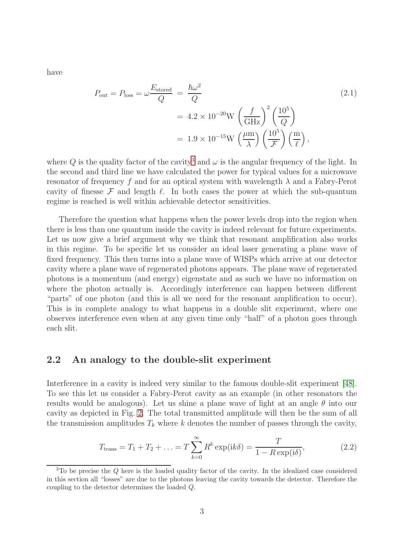have

<span id="page-3-2"></span>
$$
P_{\text{out}} = P_{\text{loss}} = \omega \frac{E_{\text{stored}}}{Q} = \frac{\hbar \omega^2}{Q} \tag{2.1}
$$
\n
$$
= 4.2 \times 10^{-20} \text{W} \left(\frac{f}{\text{GHz}}\right)^2 \left(\frac{10^5}{Q}\right)
$$
\n
$$
= 1.9 \times 10^{-15} \text{W} \left(\frac{\mu \text{m}}{\lambda}\right) \left(\frac{10^5}{\mathcal{F}}\right) \left(\frac{\text{m}}{\ell}\right),
$$

where Q is the quality factor of the cavity<sup>[3](#page-3-0)</sup> and  $\omega$  is the angular frequency of the light. In the second and third line we have calculated the power for typical values for a microwave resonator of frequency f and for an optical system with wavelength  $\lambda$  and a Fabry-Perot cavity of finesse  $\mathcal F$  and length  $\ell$ . In both cases the power at which the sub-quantum regime is reached is well within achievable detector sensitivities.

Therefore the question what happens when the power levels drop into the region when there is less than one quantum inside the cavity is indeed relevant for future experiments. Let us now give a brief argument why we think that resonant amplification also works in this regime. To be specific let us consider an ideal laser generating a plane wave of fixed frequency. This then turns into a plane wave of WISPs which arrive at our detector cavity where a plane wave of regenerated photons appears. The plane wave of regenerated photons is a momentum (and energy) eigenstate and as such we have no information on where the photon actually is. Accordingly interference can happen between different "parts" of one photon (and this is all we need for the resonant amplification to occur). This is in complete analogy to what happens in a double slit experiment, where one observes interference even when at any given time only "half" of a photon goes through each slit.

#### 2.2 An analogy to the double-slit experiment

Interference in a cavity is indeed very similar to the famous double-slit experiment [\[48\]](#page-14-11). To see this let us consider a Fabry-Perot cavity as an example (in other resonators the results would be analogous). Let us shine a plane wave of light at an angle  $\theta$  into our cavity as depicted in Fig. [2.](#page-5-0) The total transmitted amplitude will then be the sum of all the transmission amplitudes  $T_k$  where k denotes the number of passes through the cavity,

<span id="page-3-1"></span>
$$
T_{\text{trans}} = T_1 + T_2 + \dots = T \sum_{k=0}^{\infty} R^k \exp(ik\delta) = \frac{T}{1 - R \exp(i\delta)},
$$
 (2.2)

<span id="page-3-0"></span> $3$ To be precise the  $Q$  here is the loaded quality factor of the cavity. In the idealized case considered in this section all "losses" are due to the photons leaving the cavity towards the detector. Therefore the coupling to the detector determines the loaded Q.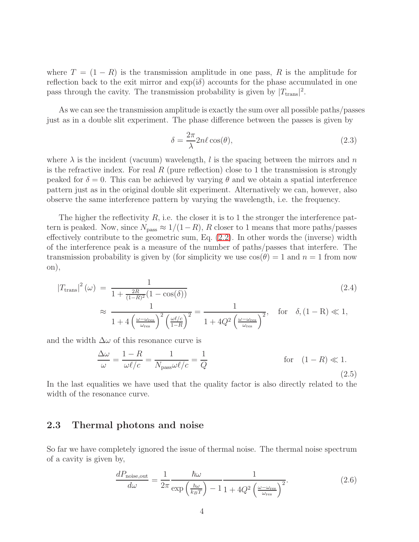where  $T = (1 - R)$  is the transmission amplitude in one pass, R is the amplitude for reflection back to the exit mirror and  $\exp(i\delta)$  accounts for the phase accumulated in one pass through the cavity. The transmission probability is given by  $|T_{trans}|^2$ .

As we can see the transmission amplitude is exactly the sum over all possible paths/passes just as in a double slit experiment. The phase difference between the passes is given by

$$
\delta = \frac{2\pi}{\lambda} 2n\ell \cos(\theta),\tag{2.3}
$$

where  $\lambda$  is the incident (vacuum) wavelength, l is the spacing between the mirrors and n is the refractive index. For real R (pure reflection) close to 1 the transmission is strongly peaked for  $\delta = 0$ . This can be achieved by varying  $\theta$  and we obtain a spatial interference pattern just as in the original double slit experiment. Alternatively we can, however, also observe the same interference pattern by varying the wavelength, i.e. the frequency.

The higher the reflectivity  $R$ , i.e. the closer it is to 1 the stronger the interference pattern is peaked. Now, since  $N_{\text{pass}} \approx 1/(1-R)$ , R closer to 1 means that more paths/passes effectively contribute to the geometric sum, Eq. [\(2.2\)](#page-3-1). In other words the (inverse) width of the interference peak is a measure of the number of paths/passes that interfere. The transmission probability is given by (for simplicity we use  $\cos(\theta) = 1$  and  $n = 1$  from now on),

<span id="page-4-0"></span>
$$
|T_{\text{trans}}|^2(\omega) = \frac{1}{1 + \frac{2R}{(1 - R)^2} (1 - \cos(\delta))}
$$
\n
$$
\approx \frac{1}{1 + 4\left(\frac{\omega - \omega_{\text{res}}}{\omega_{\text{res}}}\right)^2 \left(\frac{\omega\ell/c}{1 - R}\right)^2} = \frac{1}{1 + 4Q^2 \left(\frac{\omega - \omega_{\text{res}}}{\omega_{\text{res}}}\right)^2}, \quad \text{for} \quad \delta, (1 - R) \ll 1,
$$
\n(2.4)

and the width  $\Delta\omega$  of this resonance curve is

$$
\frac{\Delta\omega}{\omega} = \frac{1 - R}{\omega\ell/c} = \frac{1}{N_{\text{pass}}\omega\ell/c} = \frac{1}{Q} \quad \text{for} \quad (1 - R) \ll 1. \tag{2.5}
$$

In the last equalities we have used that the quality factor is also directly related to the width of the resonance curve.

### 2.3 Thermal photons and noise

So far we have completely ignored the issue of thermal noise. The thermal noise spectrum of a cavity is given by,

$$
\frac{dP_{\text{noise,out}}}{d\omega} = \frac{1}{2\pi} \frac{\hbar\omega}{\exp\left(\frac{\hbar\omega}{k_B T}\right) - 1} \frac{1}{1 + 4Q^2 \left(\frac{\omega - \omega_{\text{res}}}{\omega_{\text{res}}}\right)^2}.
$$
(2.6)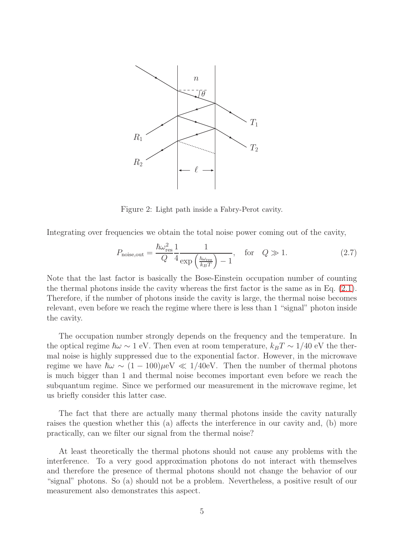<span id="page-5-0"></span>

Figure 2: Light path inside a Fabry-Perot cavity.

Integrating over frequencies we obtain the total noise power coming out of the cavity,

$$
P_{\text{noise,out}} = \frac{\hbar \omega_{\text{res}}^2}{Q} \frac{1}{4} \frac{1}{\exp\left(\frac{\hbar \omega_{\text{res}}}{k_B T}\right) - 1}, \quad \text{for} \quad Q \gg 1. \tag{2.7}
$$

Note that the last factor is basically the Bose-Einstein occupation number of counting the thermal photons inside the cavity whereas the first factor is the same as in Eq. [\(2.1\)](#page-3-2). Therefore, if the number of photons inside the cavity is large, the thermal noise becomes relevant, even before we reach the regime where there is less than 1 "signal" photon inside the cavity.

The occupation number strongly depends on the frequency and the temperature. In the optical regime  $\hbar\omega \sim 1$  eV. Then even at room temperature,  $k_BT \sim 1/40$  eV the thermal noise is highly suppressed due to the exponential factor. However, in the microwave regime we have  $\hbar\omega \sim (1 - 100)\mu\text{eV} \ll 1/40\text{eV}$ . Then the number of thermal photons is much bigger than 1 and thermal noise becomes important even before we reach the subquantum regime. Since we performed our measurement in the microwave regime, let us briefly consider this latter case.

The fact that there are actually many thermal photons inside the cavity naturally raises the question whether this (a) affects the interference in our cavity and, (b) more practically, can we filter our signal from the thermal noise?

At least theoretically the thermal photons should not cause any problems with the interference. To a very good approximation photons do not interact with themselves and therefore the presence of thermal photons should not change the behavior of our "signal" photons. So (a) should not be a problem. Nevertheless, a positive result of our measurement also demonstrates this aspect.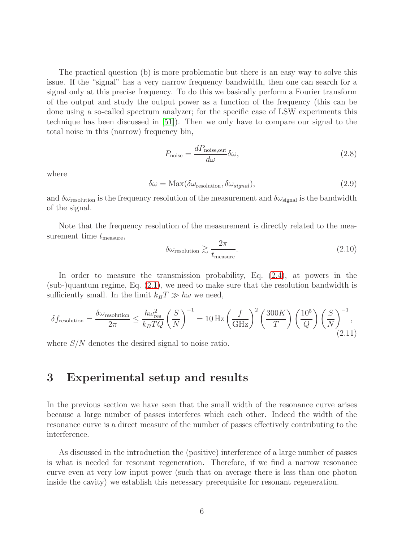The practical question (b) is more problematic but there is an easy way to solve this issue. If the "signal" has a very narrow frequency bandwidth, then one can search for a signal only at this precise frequency. To do this we basically perform a Fourier transform of the output and study the output power as a function of the frequency (this can be done using a so-called spectrum analyzer; for the specific case of LSW experiments this technique has been discussed in [\[51\]](#page-14-14)). Then we only have to compare our signal to the total noise in this (narrow) frequency bin,

$$
P_{\text{noise}} = \frac{dP_{\text{noise,out}}}{d\omega} \delta\omega,\tag{2.8}
$$

where

$$
\delta\omega = \text{Max}(\delta\omega_{\text{resolution}}, \delta\omega_{signal}),\tag{2.9}
$$

and  $\delta\omega_{\text{resolution}}$  is the frequency resolution of the measurement and  $\delta\omega_{\text{signal}}$  is the bandwidth of the signal.

Note that the frequency resolution of the measurement is directly related to the measurement time  $t_{\text{measure}}$ ,

$$
\delta\omega_{\text{resolution}} \gtrsim \frac{2\pi}{t_{\text{measure}}}.\tag{2.10}
$$

In order to measure the transmission probability, Eq. [\(2.4\)](#page-4-0), at powers in the (sub-)quantum regime, Eq. [\(2.1\)](#page-3-2), we need to make sure that the resolution bandwidth is sufficiently small. In the limit  $k_BT \gg \hbar\omega$  we need,

<span id="page-6-0"></span>
$$
\delta f_{\text{resolution}} = \frac{\delta \omega_{\text{resolution}}}{2\pi} \le \frac{\hbar \omega_{\text{res}}^2}{k_B T Q} \left(\frac{S}{N}\right)^{-1} = 10 \,\text{Hz} \left(\frac{f}{\text{GHz}}\right)^2 \left(\frac{300K}{T}\right) \left(\frac{10^5}{Q}\right) \left(\frac{S}{N}\right)^{-1},\tag{2.11}
$$

where  $S/N$  denotes the desired signal to noise ratio.

## 3 Experimental setup and results

In the previous section we have seen that the small width of the resonance curve arises because a large number of passes interferes which each other. Indeed the width of the resonance curve is a direct measure of the number of passes effectively contributing to the interference.

As discussed in the introduction the (positive) interference of a large number of passes is what is needed for resonant regeneration. Therefore, if we find a narrow resonance curve even at very low input power (such that on average there is less than one photon inside the cavity) we establish this necessary prerequisite for resonant regeneration.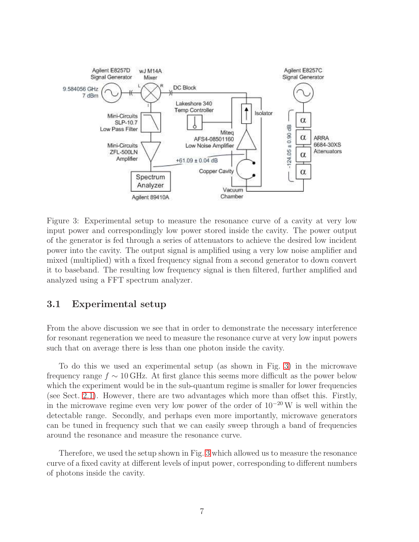<span id="page-7-0"></span>

Figure 3: Experimental setup to measure the resonance curve of a cavity at very low input power and correspondingly low power stored inside the cavity. The power output of the generator is fed through a series of attenuators to achieve the desired low incident power into the cavity. The output signal is amplified using a very low noise amplifier and mixed (multiplied) with a fixed frequency signal from a second generator to down convert it to baseband. The resulting low frequency signal is then filtered, further amplified and analyzed using a FFT spectrum analyzer.

### 3.1 Experimental setup

From the above discussion we see that in order to demonstrate the necessary interference for resonant regeneration we need to measure the resonance curve at very low input powers such that on average there is less than one photon inside the cavity.

To do this we used an experimental setup (as shown in Fig. [3\)](#page-7-0) in the microwave frequency range  $f \sim 10 \text{ GHz}$ . At first glance this seems more difficult as the power below which the experiment would be in the sub-quantum regime is smaller for lower frequencies (see Sect. [2.1\)](#page-2-0). However, there are two advantages which more than offset this. Firstly, in the microwave regime even very low power of the order of 10<sup>−</sup><sup>20</sup> W is well within the detectable range. Secondly, and perhaps even more importantly, microwave generators can be tuned in frequency such that we can easily sweep through a band of frequencies around the resonance and measure the resonance curve.

Therefore, we used the setup shown in Fig. [3](#page-7-0) which allowed us to measure the resonance curve of a fixed cavity at different levels of input power, corresponding to different numbers of photons inside the cavity.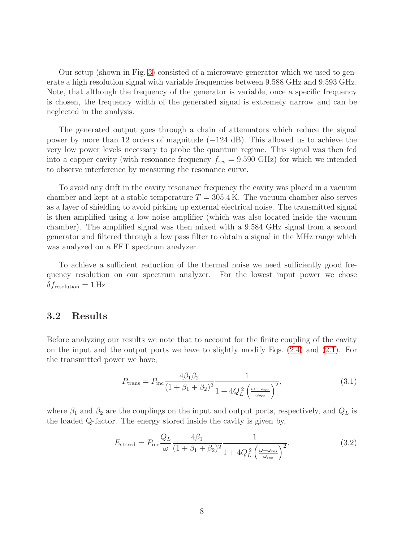Our setup (shown in Fig. [3\)](#page-7-0) consisted of a microwave generator which we used to generate a high resolution signal with variable frequencies between 9.588 GHz and 9.593 GHz. Note, that although the frequency of the generator is variable, once a specific frequency is chosen, the frequency width of the generated signal is extremely narrow and can be neglected in the analysis.

The generated output goes through a chain of attenuators which reduce the signal power by more than 12 orders of magnitude (−124 dB). This allowed us to achieve the very low power levels necessary to probe the quantum regime. This signal was then fed into a copper cavity (with resonance frequency  $f_{\text{res}} = 9.590 \text{ GHz}$ ) for which we intended to observe interference by measuring the resonance curve.

To avoid any drift in the cavity resonance frequency the cavity was placed in a vacuum chamber and kept at a stable temperature  $T = 305.4 \text{ K}$ . The vacuum chamber also serves as a layer of shielding to avoid picking up external electrical noise. The transmitted signal is then amplified using a low noise amplifier (which was also located inside the vacuum chamber). The amplified signal was then mixed with a 9.584 GHz signal from a second generator and filtered through a low pass filter to obtain a signal in the MHz range which was analyzed on a FFT spectrum analyzer.

To achieve a sufficient reduction of the thermal noise we need sufficiently good frequency resolution on our spectrum analyzer. For the lowest input power we chose  $\delta f_{\text{resolution}} = 1 \text{ Hz}$ 

### 3.2 Results

Before analyzing our results we note that to account for the finite coupling of the cavity on the input and the output ports we have to slightly modify Eqs. [\(2.4\)](#page-4-0) and [\(2.1\)](#page-3-2). For the transmitted power we have,

<span id="page-8-0"></span>
$$
P_{\text{trans}} = P_{\text{inc}} \frac{4\beta_1 \beta_2}{(1 + \beta_1 + \beta_2)^2} \frac{1}{1 + 4Q_L^2 \left(\frac{\omega - \omega_{\text{res}}}{\omega_{\text{res}}}\right)^2},\tag{3.1}
$$

where  $\beta_1$  and  $\beta_2$  are the couplings on the input and output ports, respectively, and  $Q_L$  is the loaded Q-factor. The energy stored inside the cavity is given by,

<span id="page-8-1"></span>
$$
E_{\text{stored}} = P_{\text{inc}} \frac{Q_L}{\omega} \frac{4\beta_1}{(1 + \beta_1 + \beta_2)^2} \frac{1}{1 + 4Q_L^2 \left(\frac{\omega - \omega_{\text{res}}}{\omega_{\text{res}}}\right)^2}.
$$
(3.2)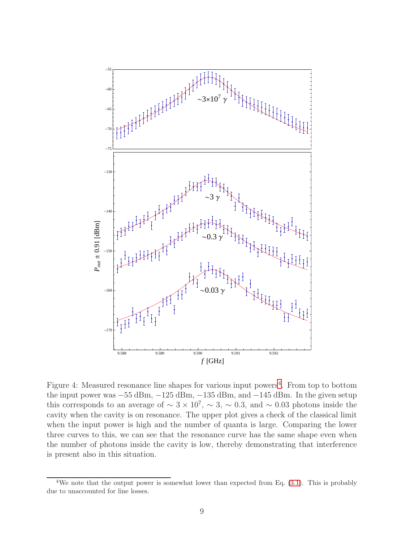<span id="page-9-1"></span>

Figure [4](#page-9-0): Measured resonance line shapes for various input powers<sup>4</sup>. From top to bottom the input power was  $-55$  dBm,  $-125$  dBm,  $-135$  dBm, and  $-145$  dBm. In the given setup this corresponds to an average of  $\sim 3 \times 10^7$ ,  $\sim 3$ ,  $\sim 0.3$ , and  $\sim 0.03$  photons inside the cavity when the cavity is on resonance. The upper plot gives a check of the classical limit when the input power is high and the number of quanta is large. Comparing the lower three curves to this, we can see that the resonance curve has the same shape even when the number of photons inside the cavity is low, thereby demonstrating that interference is present also in this situation.

<span id="page-9-0"></span><sup>&</sup>lt;sup>4</sup>We note that the output power is somewhat lower than expected from Eq.  $(3.1)$ . This is probably due to unaccounted for line losses.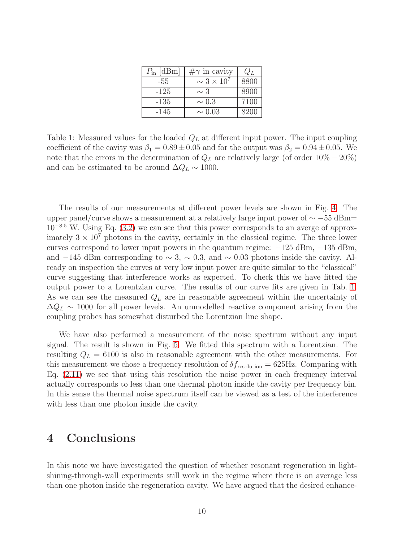| $P_{\text{in}}$ [dBm] | $\#\gamma$ in cavity | $Q_L$ |
|-----------------------|----------------------|-------|
| -55                   | $\sim 3 \times 10^7$ | 8800  |
| $-125$                | $\sim$ 3             | 8900  |
| $-135$                | $\sim 0.3$           | 7100  |
| $-145$                | $\sim 0.03$          | 8200  |

<span id="page-10-0"></span>Table 1: Measured values for the loaded  $Q_L$  at different input power. The input coupling coefficient of the cavity was  $\beta_1 = 0.89 \pm 0.05$  and for the output was  $\beta_2 = 0.94 \pm 0.05$ . We note that the errors in the determination of  $Q_L$  are relatively large (of order  $10\% - 20\%)$ and can be estimated to be around  $\Delta Q_L \sim 1000$ .

The results of our measurements at different power levels are shown in Fig. [4.](#page-9-1) The upper panel/curve shows a measurement at a relatively large input power of  $\sim -55$  dBm=  $10^{-8.5}$  W. Using Eq. [\(3.2\)](#page-8-1) we can see that this power corresponds to an averge of approximately  $3 \times 10^7$  photons in the cavity, certainly in the classical regime. The three lower curves correspond to lower input powers in the quantum regime: −125 dBm, −135 dBm, and −145 dBm corresponding to  $\sim$  3,  $\sim$  0.3, and  $\sim$  0.03 photons inside the cavity. Already on inspection the curves at very low input power are quite similar to the "classical" curve suggesting that interference works as expected. To check this we have fitted the output power to a Lorentzian curve. The results of our curve fits are given in Tab. [1.](#page-10-0) As we can see the measured  $Q_L$  are in reasonable agreement within the uncertainty of  $\Delta Q_L \sim 1000$  for all power levels. An unmodelled reactive component arising from the coupling probes has somewhat disturbed the Lorentzian line shape.

We have also performed a measurement of the noise spectrum without any input signal. The result is shown in Fig. [5.](#page-11-0) We fitted this spectrum with a Lorentzian. The resulting  $Q_L = 6100$  is also in reasonable agreement with the other measurements. For this measurement we chose a frequency resolution of  $\delta f_{\rm resolution} = 625 \text{Hz}$ . Comparing with Eq. [\(2.11\)](#page-6-0) we see that using this resolution the noise power in each frequency interval actually corresponds to less than one thermal photon inside the cavity per frequency bin. In this sense the thermal noise spectrum itself can be viewed as a test of the interference with less than one photon inside the cavity.

# 4 Conclusions

In this note we have investigated the question of whether resonant regeneration in lightshining-through-wall experiments still work in the regime where there is on average less than one photon inside the regeneration cavity. We have argued that the desired enhance-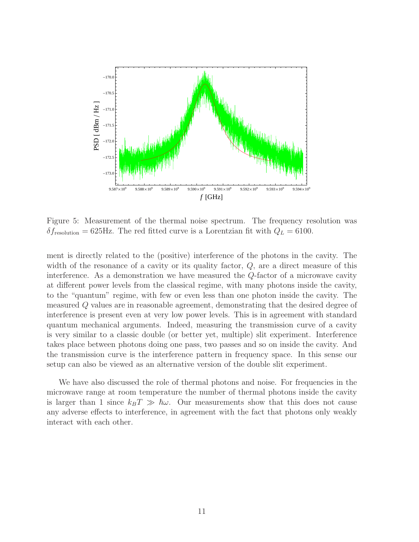<span id="page-11-0"></span>

Figure 5: Measurement of the thermal noise spectrum. The frequency resolution was  $\delta f_{\rm resolution} = 625$ Hz. The red fitted curve is a Lorentzian fit with  $Q_L = 6100$ .

ment is directly related to the (positive) interference of the photons in the cavity. The width of the resonance of a cavity or its quality factor,  $Q$ , are a direct measure of this interference. As a demonstration we have measured the Q-factor of a microwave cavity at different power levels from the classical regime, with many photons inside the cavity, to the "quantum" regime, with few or even less than one photon inside the cavity. The measured Q values are in reasonable agreement, demonstrating that the desired degree of interference is present even at very low power levels. This is in agreement with standard quantum mechanical arguments. Indeed, measuring the transmission curve of a cavity is very similar to a classic double (or better yet, multiple) slit experiment. Interference takes place between photons doing one pass, two passes and so on inside the cavity. And the transmission curve is the interference pattern in frequency space. In this sense our setup can also be viewed as an alternative version of the double slit experiment.

We have also discussed the role of thermal photons and noise. For frequencies in the microwave range at room temperature the number of thermal photons inside the cavity is larger than 1 since  $k_BT \gg \hbar \omega$ . Our measurements show that this does not cause any adverse effects to interference, in agreement with the fact that photons only weakly interact with each other.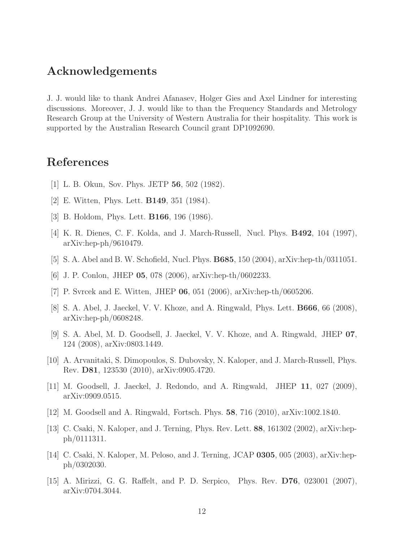## Acknowledgements

J. J. would like to thank Andrei Afanasev, Holger Gies and Axel Lindner for interesting discussions. Moreover, J. J. would like to than the Frequency Standards and Metrology Research Group at the University of Western Australia for their hospitality. This work is supported by the Australian Research Council grant DP1092690.

## <span id="page-12-0"></span>References

- [1] L. B. Okun, Sov. Phys. JETP 56, 502 (1982).
- [2] E. Witten, Phys. Lett. B149, 351 (1984).
- [3] B. Holdom, Phys. Lett. B166, 196 (1986).
- [4] K. R. Dienes, C. F. Kolda, and J. March-Russell, Nucl. Phys. B492, 104 (1997), arXiv:hep-ph/9610479.
- [5] S. A. Abel and B. W. Schofield, Nucl. Phys. B685, 150 (2004), arXiv:hep-th/0311051.
- [6] J. P. Conlon, JHEP 05, 078 (2006), arXiv:hep-th/0602233.
- [7] P. Svrcek and E. Witten, JHEP 06, 051 (2006), arXiv:hep-th/0605206.
- [8] S. A. Abel, J. Jaeckel, V. V. Khoze, and A. Ringwald, Phys. Lett. B666, 66 (2008), arXiv:hep-ph/0608248.
- [9] S. A. Abel, M. D. Goodsell, J. Jaeckel, V. V. Khoze, and A. Ringwald, JHEP 07, 124 (2008), arXiv:0803.1449.
- [10] A. Arvanitaki, S. Dimopoulos, S. Dubovsky, N. Kaloper, and J. March-Russell, Phys. Rev. D81, 123530 (2010), arXiv:0905.4720.
- <span id="page-12-1"></span>[11] M. Goodsell, J. Jaeckel, J. Redondo, and A. Ringwald, JHEP 11, 027 (2009), arXiv:0909.0515.
- <span id="page-12-2"></span>[12] M. Goodsell and A. Ringwald, Fortsch. Phys. 58, 716 (2010), arXiv:1002.1840.
- [13] C. Csaki, N. Kaloper, and J. Terning, Phys. Rev. Lett. 88, 161302 (2002), arXiv:hepph/0111311.
- [14] C. Csaki, N. Kaloper, M. Peloso, and J. Terning, JCAP 0305, 005 (2003), arXiv:hepph/0302030.
- [15] A. Mirizzi, G. G. Raffelt, and P. D. Serpico, Phys. Rev. D76, 023001 (2007), arXiv:0704.3044.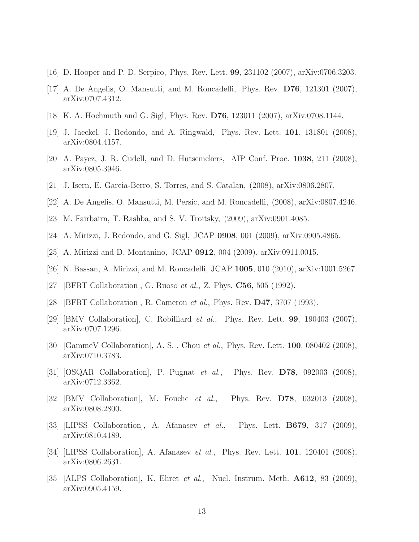- [16] D. Hooper and P. D. Serpico, Phys. Rev. Lett. 99, 231102 (2007), arXiv:0706.3203.
- [17] A. De Angelis, O. Mansutti, and M. Roncadelli, Phys. Rev. D76, 121301 (2007), arXiv:0707.4312.
- [18] K. A. Hochmuth and G. Sigl, Phys. Rev. D76, 123011 (2007), arXiv:0708.1144.
- [19] J. Jaeckel, J. Redondo, and A. Ringwald, Phys. Rev. Lett. 101, 131801 (2008), arXiv:0804.4157.
- [20] A. Payez, J. R. Cudell, and D. Hutsemekers, AIP Conf. Proc. 1038, 211 (2008), arXiv:0805.3946.
- [21] J. Isern, E. Garcia-Berro, S. Torres, and S. Catalan, (2008), arXiv:0806.2807.
- [22] A. De Angelis, O. Mansutti, M. Persic, and M. Roncadelli, (2008), arXiv:0807.4246.
- [23] M. Fairbairn, T. Rashba, and S. V. Troitsky, (2009), arXiv:0901.4085.
- [24] A. Mirizzi, J. Redondo, and G. Sigl, JCAP 0908, 001 (2009), arXiv:0905.4865.
- <span id="page-13-0"></span>[25] A. Mirizzi and D. Montanino, JCAP 0912, 004 (2009), arXiv:0911.0015.
- <span id="page-13-1"></span>[26] N. Bassan, A. Mirizzi, and M. Roncadelli, JCAP 1005, 010 (2010), arXiv:1001.5267.
- <span id="page-13-2"></span>[27] [BFRT Collaboration], G. Ruoso *et al.*, Z. Phys.  $C56$ , 505 (1992).
- [28] [BFRT Collaboration], R. Cameron et al., Phys. Rev. D47, 3707 (1993).
- [29] [BMV Collaboration], C. Robilliard et al., Phys. Rev. Lett. 99, 190403 (2007), arXiv:0707.1296.
- [30] [GammeV Collaboration], A. S. . Chou *et al.*, Phys. Rev. Lett. **100**, 080402 (2008), arXiv:0710.3783.
- [31] [OSQAR Collaboration], P. Pugnat et al., Phys. Rev. D78, 092003 (2008), arXiv:0712.3362.
- [32] [BMV Collaboration], M. Fouche *et al.*, Phys. Rev.  $D78$ , 032013 (2008), arXiv:0808.2800.
- [33] [LIPSS Collaboration], A. Afanasev et al., Phys. Lett.  $\mathbf{B679}$ , 317 (2009), arXiv:0810.4189.
- [34] [LIPSS Collaboration], A. Afanasev et al., Phys. Rev. Lett. 101, 120401 (2008), arXiv:0806.2631.
- [35] [ALPS Collaboration], K. Ehret *et al.*, Nucl. Instrum. Meth.  $\mathbf{A612}$ , 83 (2009), arXiv:0905.4159.